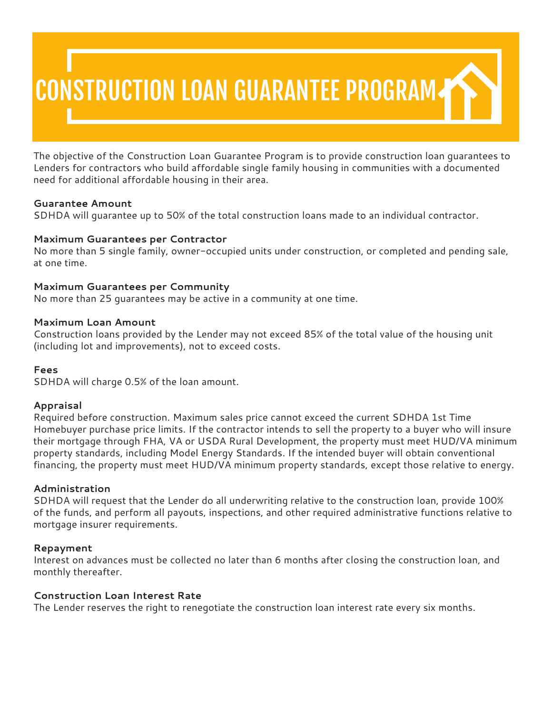# CONSTRUCTION LOAN GUARANTEE PROGRAM

The objective of the Construction Loan Guarantee Program is to provide construction loan guarantees to Lenders for contractors who build affordable single family housing in communities with a documented need for additional affordable housing in their area.

## **Guarantee Amount**

SDHDA will guarantee up to 50% of the total construction loans made to an individual contractor.

# **Maximum Guarantees per Contractor**

No more than 5 single family, owner-occupied units under construction, or completed and pending sale, at one time.

# **Maximum Guarantees per Community**

No more than 25 guarantees may be active in a community at one time.

## **Maximum Loan Amount**

Construction loans provided by the Lender may not exceed 85% of the total value of the housing unit (including lot and improvements), not to exceed costs.

## **Fees**

SDHDA will charge 0.5% of the loan amount.

## **Appraisal**

Required before construction. Maximum sales price cannot exceed the current SDHDA 1st Time Homebuyer purchase price limits. If the contractor intends to sell the property to a buyer who will insure their mortgage through FHA, VA or USDA Rural Development, the property must meet HUD/VA minimum property standards, including Model Energy Standards. If the intended buyer will obtain conventional financing, the property must meet HUD/VA minimum property standards, except those relative to energy.

## **Administration**

SDHDA will request that the Lender do all underwriting relative to the construction loan, provide 100% of the funds, and perform all payouts, inspections, and other required administrative functions relative to mortgage insurer requirements.

## **Repayment**

Interest on advances must be collected no later than 6 months after closing the construction loan, and monthly thereafter.

## **Construction Loan Interest Rate**

The Lender reserves the right to renegotiate the construction loan interest rate every six months.